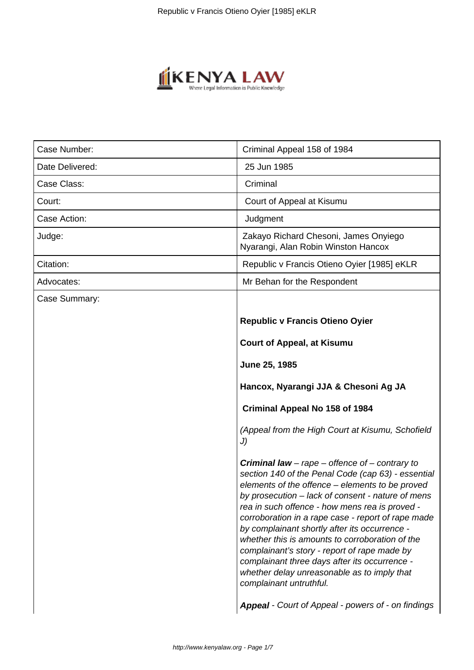

| Case Number:    | Criminal Appeal 158 of 1984                                                                                                                                                                                                                                                                                                                                                                                                                                                                                                                                                                                |
|-----------------|------------------------------------------------------------------------------------------------------------------------------------------------------------------------------------------------------------------------------------------------------------------------------------------------------------------------------------------------------------------------------------------------------------------------------------------------------------------------------------------------------------------------------------------------------------------------------------------------------------|
| Date Delivered: | 25 Jun 1985                                                                                                                                                                                                                                                                                                                                                                                                                                                                                                                                                                                                |
| Case Class:     | Criminal                                                                                                                                                                                                                                                                                                                                                                                                                                                                                                                                                                                                   |
| Court:          | Court of Appeal at Kisumu                                                                                                                                                                                                                                                                                                                                                                                                                                                                                                                                                                                  |
| Case Action:    | Judgment                                                                                                                                                                                                                                                                                                                                                                                                                                                                                                                                                                                                   |
| Judge:          | Zakayo Richard Chesoni, James Onyiego<br>Nyarangi, Alan Robin Winston Hancox                                                                                                                                                                                                                                                                                                                                                                                                                                                                                                                               |
| Citation:       | Republic v Francis Otieno Oyier [1985] eKLR                                                                                                                                                                                                                                                                                                                                                                                                                                                                                                                                                                |
| Advocates:      | Mr Behan for the Respondent                                                                                                                                                                                                                                                                                                                                                                                                                                                                                                                                                                                |
| Case Summary:   |                                                                                                                                                                                                                                                                                                                                                                                                                                                                                                                                                                                                            |
|                 | <b>Republic v Francis Otieno Oyier</b>                                                                                                                                                                                                                                                                                                                                                                                                                                                                                                                                                                     |
|                 | <b>Court of Appeal, at Kisumu</b>                                                                                                                                                                                                                                                                                                                                                                                                                                                                                                                                                                          |
|                 | June 25, 1985                                                                                                                                                                                                                                                                                                                                                                                                                                                                                                                                                                                              |
|                 | Hancox, Nyarangi JJA & Chesoni Ag JA                                                                                                                                                                                                                                                                                                                                                                                                                                                                                                                                                                       |
|                 | Criminal Appeal No 158 of 1984                                                                                                                                                                                                                                                                                                                                                                                                                                                                                                                                                                             |
|                 | (Appeal from the High Court at Kisumu, Schofield<br>J)                                                                                                                                                                                                                                                                                                                                                                                                                                                                                                                                                     |
|                 | <b>Criminal law</b> – rape – offence of – contrary to<br>section 140 of the Penal Code (cap 63) - essential<br>elements of the offence - elements to be proved<br>by prosecution - lack of consent - nature of mens<br>rea in such offence - how mens rea is proved -<br>corroboration in a rape case - report of rape made<br>by complainant shortly after its occurrence -<br>whether this is amounts to corroboration of the<br>complainant's story - report of rape made by<br>complainant three days after its occurrence -<br>whether delay unreasonable as to imply that<br>complainant untruthful. |
|                 | Appeal - Court of Appeal - powers of - on findings                                                                                                                                                                                                                                                                                                                                                                                                                                                                                                                                                         |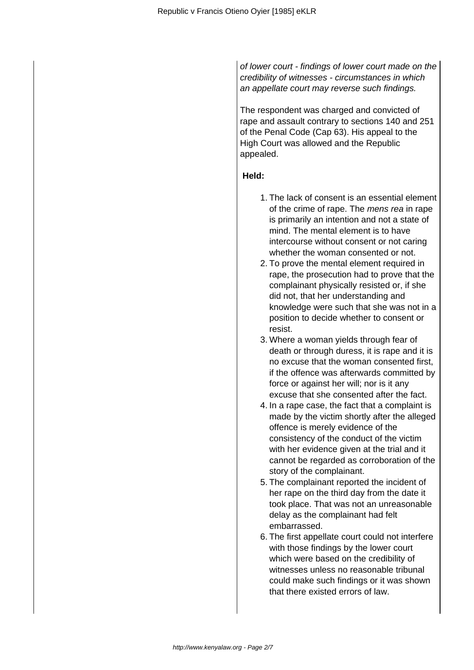of lower court - findings of lower court made on the credibility of witnesses - circumstances in which an appellate court may reverse such findings.

The respondent was charged and convicted of rape and assault contrary to sections 140 and 251 of the Penal Code (Cap 63). His appeal to the High Court was allowed and the Republic appealed.

## **Held:**

- 1. The lack of consent is an essential element of the crime of rape. The *mens rea* in rape is primarily an intention and not a state of mind. The mental element is to have intercourse without consent or not caring whether the woman consented or not.
- 2. To prove the mental element required in rape, the prosecution had to prove that the complainant physically resisted or, if she did not, that her understanding and knowledge were such that she was not in a position to decide whether to consent or resist.
- 3. Where a woman yields through fear of death or through duress, it is rape and it is no excuse that the woman consented first, if the offence was afterwards committed by force or against her will; nor is it any excuse that she consented after the fact.
- 4. In a rape case, the fact that a complaint is made by the victim shortly after the alleged offence is merely evidence of the consistency of the conduct of the victim with her evidence given at the trial and it cannot be regarded as corroboration of the story of the complainant.
- 5. The complainant reported the incident of her rape on the third day from the date it took place. That was not an unreasonable delay as the complainant had felt embarrassed.
- 6. The first appellate court could not interfere with those findings by the lower court which were based on the credibility of witnesses unless no reasonable tribunal could make such findings or it was shown that there existed errors of law.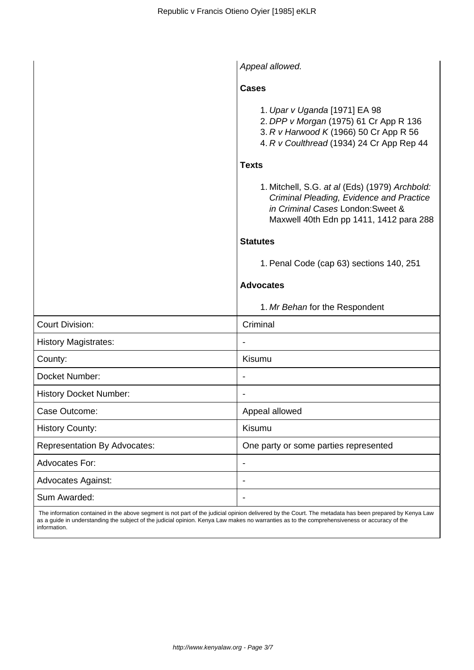|                                     | Appeal allowed.                                                                                                                                                            |
|-------------------------------------|----------------------------------------------------------------------------------------------------------------------------------------------------------------------------|
|                                     | <b>Cases</b>                                                                                                                                                               |
|                                     | 1. Upar v Uganda [1971] EA 98<br>2. DPP v Morgan (1975) 61 Cr App R 136<br>3. R v Harwood K (1966) 50 Cr App R 56<br>4. R v Coulthread (1934) 24 Cr App Rep 44             |
|                                     | <b>Texts</b>                                                                                                                                                               |
|                                     | 1. Mitchell, S.G. at al (Eds) (1979) Archbold:<br>Criminal Pleading, Evidence and Practice<br>in Criminal Cases London: Sweet &<br>Maxwell 40th Edn pp 1411, 1412 para 288 |
|                                     | <b>Statutes</b>                                                                                                                                                            |
|                                     | 1. Penal Code (cap 63) sections 140, 251                                                                                                                                   |
|                                     | <b>Advocates</b>                                                                                                                                                           |
|                                     | 1. Mr Behan for the Respondent                                                                                                                                             |
| <b>Court Division:</b>              | Criminal                                                                                                                                                                   |
| <b>History Magistrates:</b>         |                                                                                                                                                                            |
| County:                             | Kisumu                                                                                                                                                                     |
| Docket Number:                      |                                                                                                                                                                            |
| <b>History Docket Number:</b>       |                                                                                                                                                                            |
| Case Outcome:                       | Appeal allowed                                                                                                                                                             |
| <b>History County:</b>              | Kisumu                                                                                                                                                                     |
| <b>Representation By Advocates:</b> | One party or some parties represented                                                                                                                                      |
| <b>Advocates For:</b>               | $\qquad \qquad \blacksquare$                                                                                                                                               |
| <b>Advocates Against:</b>           | $\overline{\phantom{a}}$                                                                                                                                                   |
| Sum Awarded:                        | $\overline{\phantom{a}}$                                                                                                                                                   |

 The information contained in the above segment is not part of the judicial opinion delivered by the Court. The metadata has been prepared by Kenya Law as a guide in understanding the subject of the judicial opinion. Kenya Law makes no warranties as to the comprehensiveness or accuracy of the information.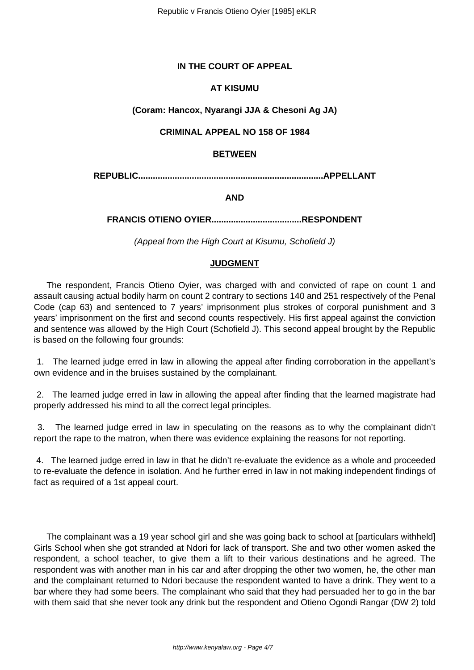# **IN THE COURT OF APPEAL**

## **AT KISUMU**

## **(Coram: Hancox, Nyarangi JJA & Chesoni Ag JA)**

## **CRIMINAL APPEAL NO 158 OF 1984**

#### **BETWEEN**

**REPUBLIC............................................................................APPELLANT**

**AND**

**FRANCIS OTIENO OYIER.....................................RESPONDENT**

(Appeal from the High Court at Kisumu, Schofield J)

## **JUDGMENT**

The respondent, Francis Otieno Oyier, was charged with and convicted of rape on count 1 and assault causing actual bodily harm on count 2 contrary to sections 140 and 251 respectively of the Penal Code (cap 63) and sentenced to 7 years' imprisonment plus strokes of corporal punishment and 3 years' imprisonment on the first and second counts respectively. His first appeal against the conviction and sentence was allowed by the High Court (Schofield J). This second appeal brought by the Republic is based on the following four grounds:

1. The learned judge erred in law in allowing the appeal after finding corroboration in the appellant's own evidence and in the bruises sustained by the complainant.

2. The learned judge erred in law in allowing the appeal after finding that the learned magistrate had properly addressed his mind to all the correct legal principles.

3. The learned judge erred in law in speculating on the reasons as to why the complainant didn't report the rape to the matron, when there was evidence explaining the reasons for not reporting.

4. The learned judge erred in law in that he didn't re-evaluate the evidence as a whole and proceeded to re-evaluate the defence in isolation. And he further erred in law in not making independent findings of fact as required of a 1st appeal court.

The complainant was a 19 year school girl and she was going back to school at [particulars withheld] Girls School when she got stranded at Ndori for lack of transport. She and two other women asked the respondent, a school teacher, to give them a lift to their various destinations and he agreed. The respondent was with another man in his car and after dropping the other two women, he, the other man and the complainant returned to Ndori because the respondent wanted to have a drink. They went to a bar where they had some beers. The complainant who said that they had persuaded her to go in the bar with them said that she never took any drink but the respondent and Otieno Ogondi Rangar (DW 2) told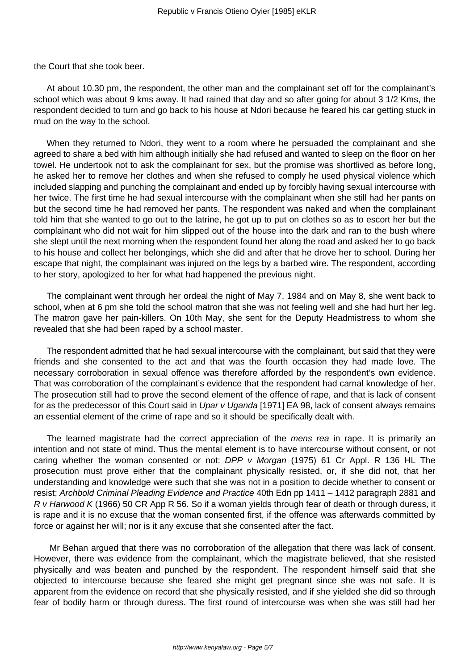the Court that she took beer.

At about 10.30 pm, the respondent, the other man and the complainant set off for the complainant's school which was about 9 kms away. It had rained that day and so after going for about 3 1/2 Kms, the respondent decided to turn and go back to his house at Ndori because he feared his car getting stuck in mud on the way to the school.

When they returned to Ndori, they went to a room where he persuaded the complainant and she agreed to share a bed with him although initially she had refused and wanted to sleep on the floor on her towel. He undertook not to ask the complainant for sex, but the promise was shortlived as before long, he asked her to remove her clothes and when she refused to comply he used physical violence which included slapping and punching the complainant and ended up by forcibly having sexual intercourse with her twice. The first time he had sexual intercourse with the complainant when she still had her pants on but the second time he had removed her pants. The respondent was naked and when the complainant told him that she wanted to go out to the latrine, he got up to put on clothes so as to escort her but the complainant who did not wait for him slipped out of the house into the dark and ran to the bush where she slept until the next morning when the respondent found her along the road and asked her to go back to his house and collect her belongings, which she did and after that he drove her to school. During her escape that night, the complainant was injured on the legs by a barbed wire. The respondent, according to her story, apologized to her for what had happened the previous night.

The complainant went through her ordeal the night of May 7, 1984 and on May 8, she went back to school, when at 6 pm she told the school matron that she was not feeling well and she had hurt her leg. The matron gave her pain-killers. On 10th May, she sent for the Deputy Headmistress to whom she revealed that she had been raped by a school master.

The respondent admitted that he had sexual intercourse with the complainant, but said that they were friends and she consented to the act and that was the fourth occasion they had made love. The necessary corroboration in sexual offence was therefore afforded by the respondent's own evidence. That was corroboration of the complainant's evidence that the respondent had carnal knowledge of her. The prosecution still had to prove the second element of the offence of rape, and that is lack of consent for as the predecessor of this Court said in Upar v Uganda [1971] EA 98, lack of consent always remains an essential element of the crime of rape and so it should be specifically dealt with.

The learned magistrate had the correct appreciation of the *mens rea* in rape. It is primarily an intention and not state of mind. Thus the mental element is to have intercourse without consent, or not caring whether the woman consented or not: DPP v Morgan (1975) 61 Cr Appl. R 136 HL The prosecution must prove either that the complainant physically resisted, or, if she did not, that her understanding and knowledge were such that she was not in a position to decide whether to consent or resist; Archbold Criminal Pleading Evidence and Practice 40th Edn pp 1411 – 1412 paragraph 2881 and R v Harwood K (1966) 50 CR App R 56. So if a woman yields through fear of death or through duress, it is rape and it is no excuse that the woman consented first, if the offence was afterwards committed by force or against her will; nor is it any excuse that she consented after the fact.

Mr Behan argued that there was no corroboration of the allegation that there was lack of consent. However, there was evidence from the complainant, which the magistrate believed, that she resisted physically and was beaten and punched by the respondent. The respondent himself said that she objected to intercourse because she feared she might get pregnant since she was not safe. It is apparent from the evidence on record that she physically resisted, and if she yielded she did so through fear of bodily harm or through duress. The first round of intercourse was when she was still had her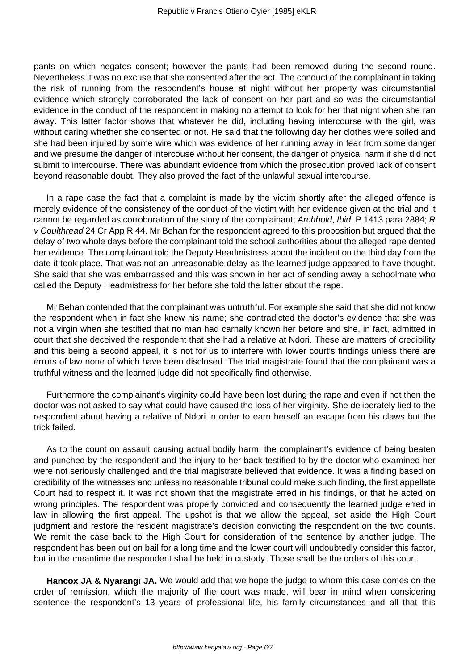pants on which negates consent; however the pants had been removed during the second round. Nevertheless it was no excuse that she consented after the act. The conduct of the complainant in taking the risk of running from the respondent's house at night without her property was circumstantial evidence which strongly corroborated the lack of consent on her part and so was the circumstantial evidence in the conduct of the respondent in making no attempt to look for her that night when she ran away. This latter factor shows that whatever he did, including having intercourse with the girl, was without caring whether she consented or not. He said that the following day her clothes were soiled and she had been injured by some wire which was evidence of her running away in fear from some danger and we presume the danger of intercouse without her consent, the danger of physical harm if she did not submit to intercourse. There was abundant evidence from which the prosecution proved lack of consent beyond reasonable doubt. They also proved the fact of the unlawful sexual intercourse.

In a rape case the fact that a complaint is made by the victim shortly after the alleged offence is merely evidence of the consistency of the conduct of the victim with her evidence given at the trial and it cannot be regarded as corroboration of the story of the complainant; Archbold, Ibid, P 1413 para 2884; R v Coulthread 24 Cr App R 44. Mr Behan for the respondent agreed to this proposition but argued that the delay of two whole days before the complainant told the school authorities about the alleged rape dented her evidence. The complainant told the Deputy Headmistress about the incident on the third day from the date it took place. That was not an unreasonable delay as the learned judge appeared to have thought. She said that she was embarrassed and this was shown in her act of sending away a schoolmate who called the Deputy Headmistress for her before she told the latter about the rape.

Mr Behan contended that the complainant was untruthful. For example she said that she did not know the respondent when in fact she knew his name; she contradicted the doctor's evidence that she was not a virgin when she testified that no man had carnally known her before and she, in fact, admitted in court that she deceived the respondent that she had a relative at Ndori. These are matters of credibility and this being a second appeal, it is not for us to interfere with lower court's findings unless there are errors of law none of which have been disclosed. The trial magistrate found that the complainant was a truthful witness and the learned judge did not specifically find otherwise.

Furthermore the complainant's virginity could have been lost during the rape and even if not then the doctor was not asked to say what could have caused the loss of her virginity. She deliberately lied to the respondent about having a relative of Ndori in order to earn herself an escape from his claws but the trick failed.

As to the count on assault causing actual bodily harm, the complainant's evidence of being beaten and punched by the respondent and the injury to her back testified to by the doctor who examined her were not seriously challenged and the trial magistrate believed that evidence. It was a finding based on credibility of the witnesses and unless no reasonable tribunal could make such finding, the first appellate Court had to respect it. It was not shown that the magistrate erred in his findings, or that he acted on wrong principles. The respondent was properly convicted and consequently the learned judge erred in law in allowing the first appeal. The upshot is that we allow the appeal, set aside the High Court judgment and restore the resident magistrate's decision convicting the respondent on the two counts. We remit the case back to the High Court for consideration of the sentence by another judge. The respondent has been out on bail for a long time and the lower court will undoubtedly consider this factor, but in the meantime the respondent shall be held in custody. Those shall be the orders of this court.

**Hancox JA & Nyarangi JA.** We would add that we hope the judge to whom this case comes on the order of remission, which the majority of the court was made, will bear in mind when considering sentence the respondent's 13 years of professional life, his family circumstances and all that this